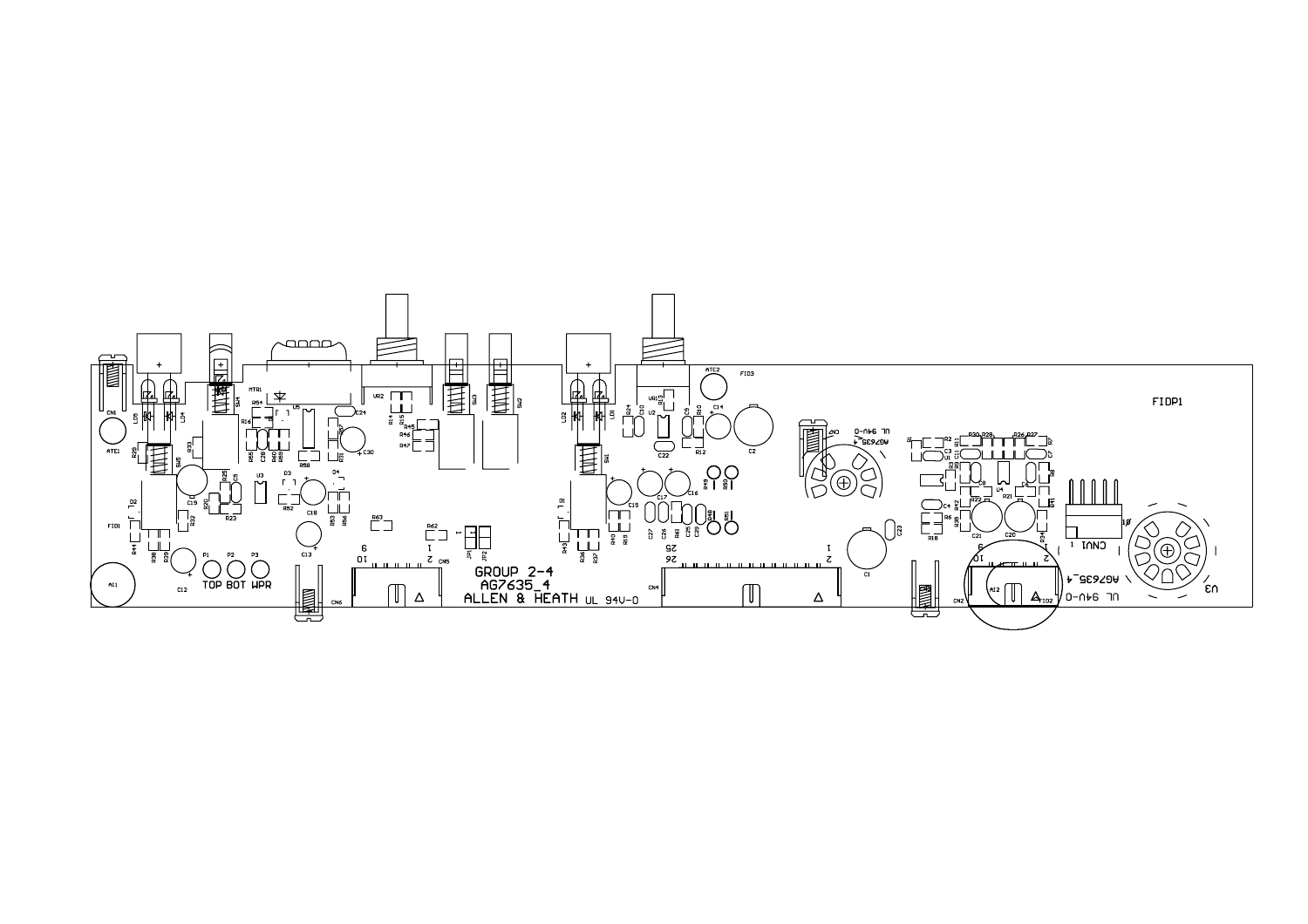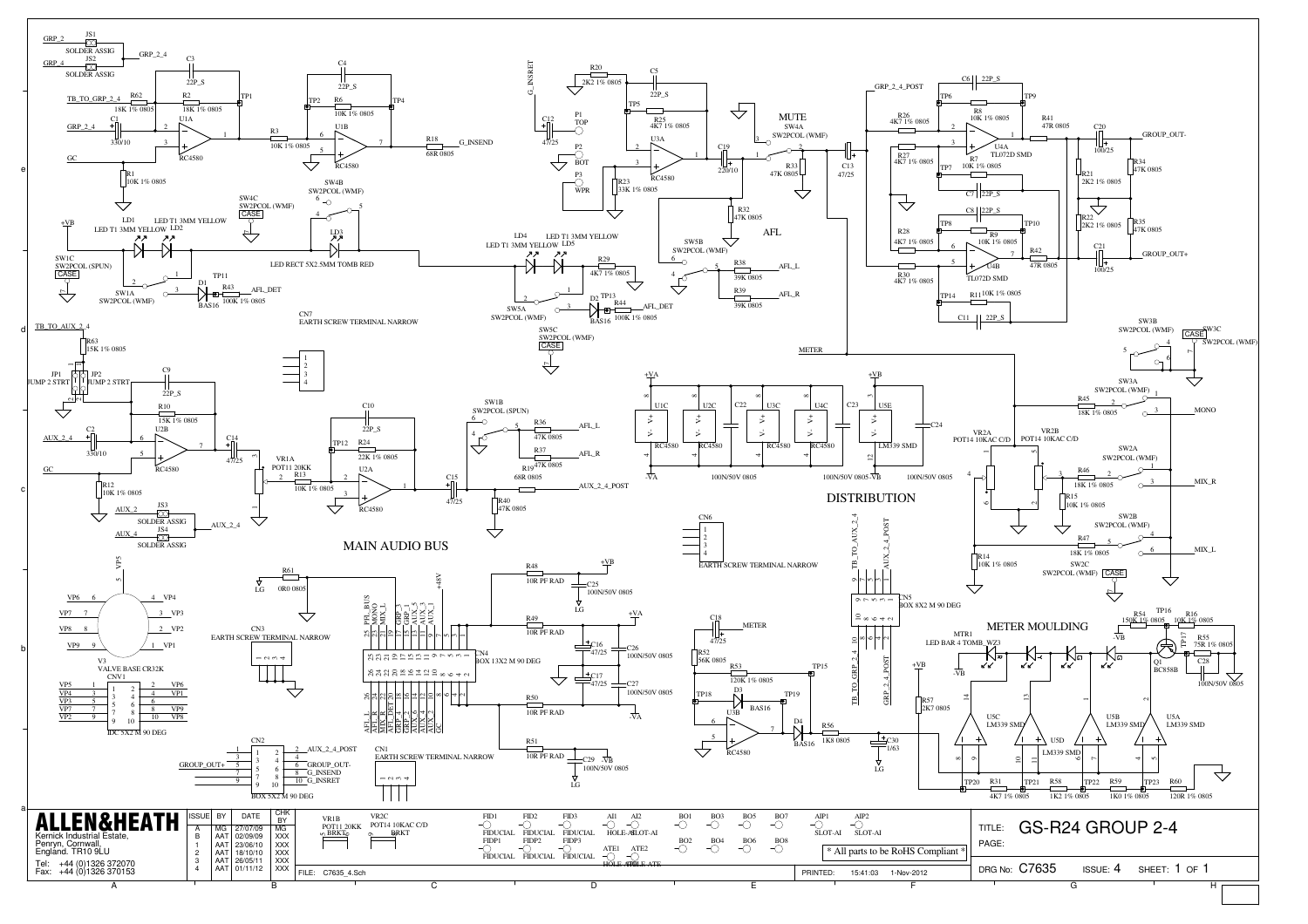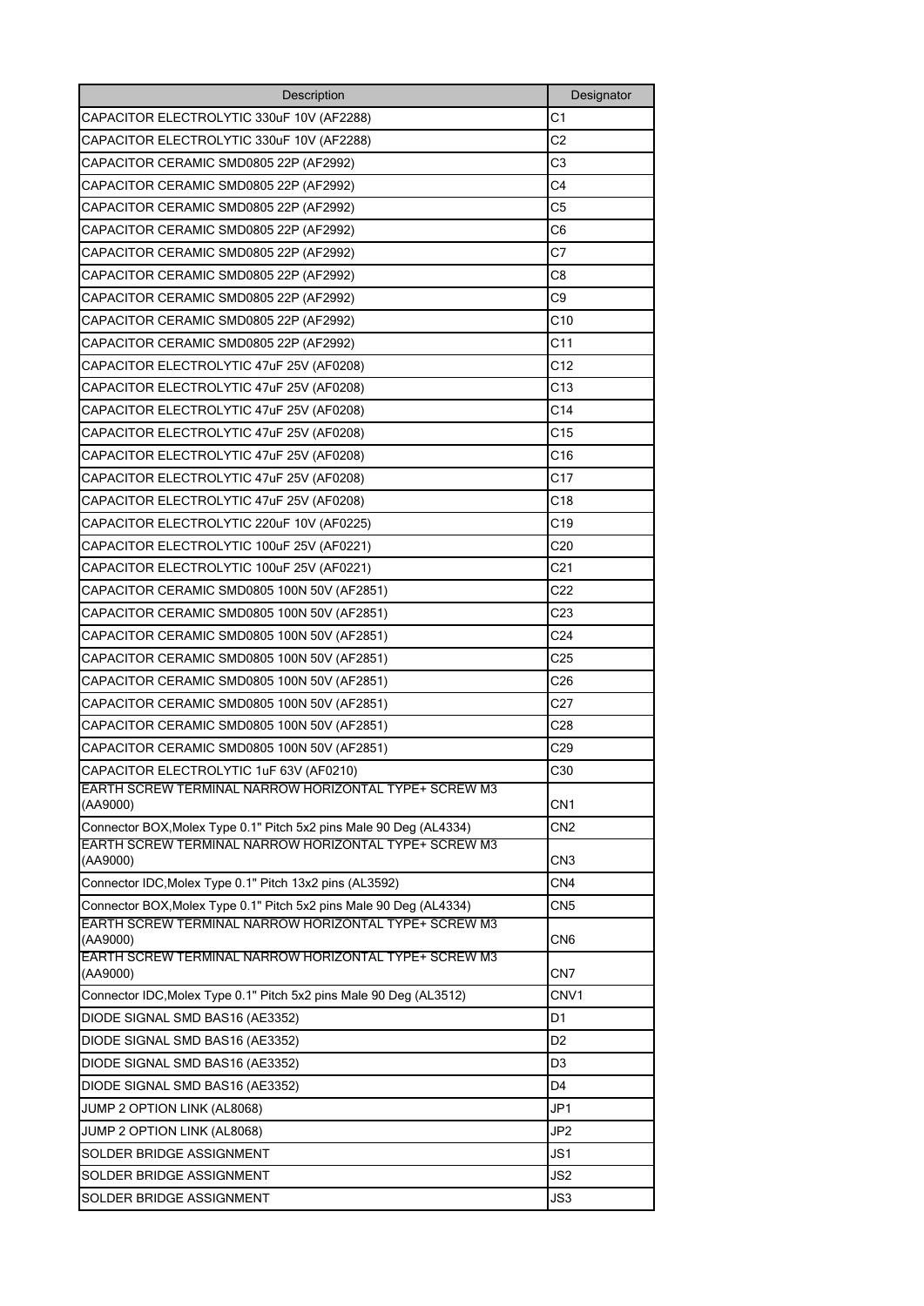| Description                                                                                                                 | Designator      |
|-----------------------------------------------------------------------------------------------------------------------------|-----------------|
| CAPACITOR ELECTROLYTIC 330uF 10V (AF2288)                                                                                   | C <sub>1</sub>  |
| CAPACITOR ELECTROLYTIC 330uF 10V (AF2288)                                                                                   | C2              |
| CAPACITOR CERAMIC SMD0805 22P (AF2992)                                                                                      | C3              |
| CAPACITOR CERAMIC SMD0805 22P (AF2992)                                                                                      | C4              |
| CAPACITOR CERAMIC SMD0805 22P (AF2992)                                                                                      | C5              |
| CAPACITOR CERAMIC SMD0805 22P (AF2992)                                                                                      | C6              |
| CAPACITOR CERAMIC SMD0805 22P (AF2992)                                                                                      | C7              |
| CAPACITOR CERAMIC SMD0805 22P (AF2992)                                                                                      | C8              |
| CAPACITOR CERAMIC SMD0805 22P (AF2992)                                                                                      | C9              |
| CAPACITOR CERAMIC SMD0805 22P (AF2992)                                                                                      | C10             |
| CAPACITOR CERAMIC SMD0805 22P (AF2992)                                                                                      | C <sub>11</sub> |
| CAPACITOR ELECTROLYTIC 47uF 25V (AF0208)                                                                                    | C12             |
| CAPACITOR ELECTROLYTIC 47uF 25V (AF0208)                                                                                    | C13             |
| CAPACITOR ELECTROLYTIC 47uF 25V (AF0208)                                                                                    | C14             |
| CAPACITOR ELECTROLYTIC 47uF 25V (AF0208)                                                                                    | C15             |
| CAPACITOR ELECTROLYTIC 47uF 25V (AF0208)                                                                                    | C16             |
| CAPACITOR ELECTROLYTIC 47uF 25V (AF0208)                                                                                    | C17             |
| CAPACITOR ELECTROLYTIC 47uF 25V (AF0208)                                                                                    | C18             |
| CAPACITOR ELECTROLYTIC 220uF 10V (AF0225)                                                                                   | C19             |
| CAPACITOR ELECTROLYTIC 100uF 25V (AF0221)                                                                                   | C <sub>20</sub> |
| CAPACITOR ELECTROLYTIC 100uF 25V (AF0221)                                                                                   | C21             |
| CAPACITOR CERAMIC SMD0805 100N 50V (AF2851)                                                                                 | C22             |
| CAPACITOR CERAMIC SMD0805 100N 50V (AF2851)                                                                                 | C23             |
| CAPACITOR CERAMIC SMD0805 100N 50V (AF2851)                                                                                 | C <sub>24</sub> |
| CAPACITOR CERAMIC SMD0805 100N 50V (AF2851)                                                                                 | C <sub>25</sub> |
| CAPACITOR CERAMIC SMD0805 100N 50V (AF2851)                                                                                 | C26             |
| CAPACITOR CERAMIC SMD0805 100N 50V (AF2851)                                                                                 | C27             |
| CAPACITOR CERAMIC SMD0805 100N 50V (AF2851)                                                                                 | C28             |
| CAPACITOR CERAMIC SMD0805 100N 50V (AF2851)                                                                                 | C29             |
| CAPACITOR ELECTROLYTIC 1uF 63V (AF0210)                                                                                     |                 |
| <b>EARTH SCREW TERMINAL NARROW HORIZONTAL TYPE+ SCREW M3</b>                                                                | C30             |
| (AA9000)                                                                                                                    | CN1             |
| Connector BOX, Molex Type 0.1" Pitch 5x2 pins Male 90 Deg (AL4334)                                                          | CN2             |
| EARTH SCREW TERMINAL NARROW HORIZONTAL TYPE+ SCREW M3                                                                       |                 |
| (AA9000)                                                                                                                    | CN3             |
| Connector IDC, Molex Type 0.1" Pitch 13x2 pins (AL3592)                                                                     | CN4             |
| Connector BOX, Molex Type 0.1" Pitch 5x2 pins Male 90 Deg (AL4334)<br>EARTH SCREW TERMINAL NARROW HORIZONTAL TYPE+ SCREW M3 | CN5             |
| (AA9000)                                                                                                                    | CN6             |
| EARTH SCREW TERMINAL NARROW HORIZONTAL TYPE+ SCREW M3<br>(AA9000)                                                           | CN7             |
| Connector IDC, Molex Type 0.1" Pitch 5x2 pins Male 90 Deg (AL3512)                                                          | CNV1            |
| DIODE SIGNAL SMD BAS16 (AE3352)                                                                                             | D1              |
| DIODE SIGNAL SMD BAS16 (AE3352)                                                                                             | D <sub>2</sub>  |
| DIODE SIGNAL SMD BAS16 (AE3352)                                                                                             | D3              |
| DIODE SIGNAL SMD BAS16 (AE3352)                                                                                             | D4              |
| JUMP 2 OPTION LINK (AL8068)                                                                                                 | JP1             |
| JUMP 2 OPTION LINK (AL8068)                                                                                                 | JP <sub>2</sub> |
| SOLDER BRIDGE ASSIGNMENT                                                                                                    | JS1             |
| SOLDER BRIDGE ASSIGNMENT                                                                                                    | JS2             |
| SOLDER BRIDGE ASSIGNMENT                                                                                                    | JS3             |
|                                                                                                                             |                 |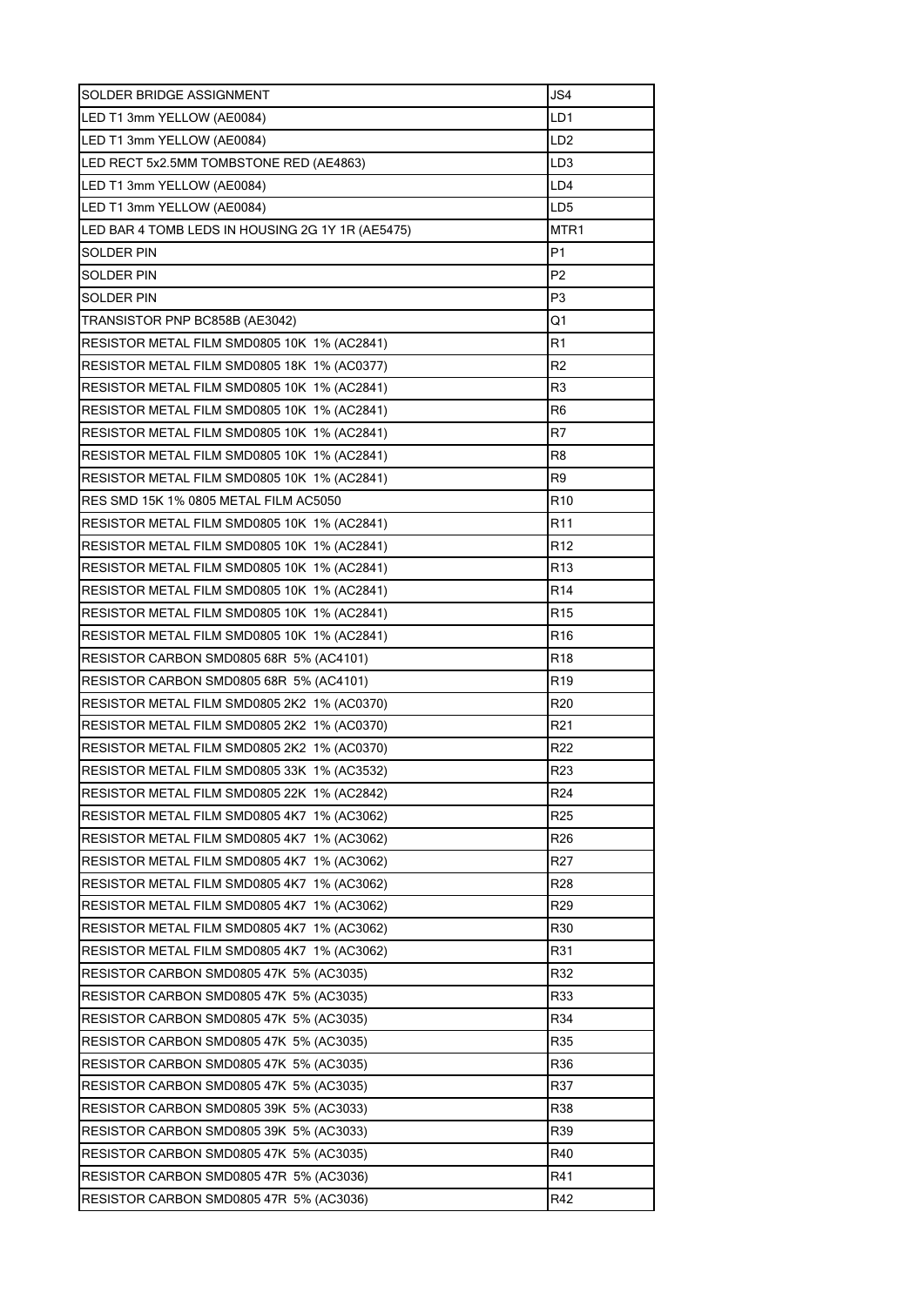| SOLDER BRIDGE ASSIGNMENT                         | JS4             |
|--------------------------------------------------|-----------------|
| LED T1 3mm YELLOW (AE0084)                       | LD1             |
| LED T1 3mm YELLOW (AE0084)                       | LD <sub>2</sub> |
| LED RECT 5x2.5MM TOMBSTONE RED (AE4863)          | LD <sub>3</sub> |
| LED T1 3mm YELLOW (AE0084)                       | LD4             |
| LED T1 3mm YELLOW (AE0084)                       | LD5             |
| LED BAR 4 TOMB LEDS IN HOUSING 2G 1Y 1R (AE5475) | MTR1            |
| SOLDER PIN                                       | P1              |
| <b>SOLDER PIN</b>                                | P2              |
| <b>SOLDER PIN</b>                                | P <sub>3</sub>  |
| TRANSISTOR PNP BC858B (AE3042)                   | Q1              |
| RESISTOR METAL FILM SMD0805 10K 1% (AC2841)      | R1              |
| RESISTOR METAL FILM SMD0805 18K 1% (AC0377)      | R2              |
| RESISTOR METAL FILM SMD0805 10K 1% (AC2841)      | R3              |
| RESISTOR METAL FILM SMD0805 10K 1% (AC2841)      | R6              |
| RESISTOR METAL FILM SMD0805 10K 1% (AC2841)      | R7              |
| RESISTOR METAL FILM SMD0805 10K 1% (AC2841)      | R8              |
| RESISTOR METAL FILM SMD0805 10K 1% (AC2841)      | R9              |
| RES SMD 15K 1% 0805 METAL FILM AC5050            | R <sub>10</sub> |
| RESISTOR METAL FILM SMD0805 10K 1% (AC2841)      | R11             |
| RESISTOR METAL FILM SMD0805 10K 1% (AC2841)      | R12             |
| RESISTOR METAL FILM SMD0805 10K 1% (AC2841)      | R13             |
| RESISTOR METAL FILM SMD0805 10K 1% (AC2841)      | R14             |
| RESISTOR METAL FILM SMD0805 10K 1% (AC2841)      | R <sub>15</sub> |
| RESISTOR METAL FILM SMD0805 10K 1% (AC2841)      | R <sub>16</sub> |
| RESISTOR CARBON SMD0805 68R 5% (AC4101)          | R18             |
| RESISTOR CARBON SMD0805 68R 5% (AC4101)          | R19             |
| RESISTOR METAL FILM SMD0805 2K2 1% (AC0370)      | R <sub>20</sub> |
| RESISTOR METAL FILM SMD0805 2K2 1% (AC0370)      | R21             |
| RESISTOR METAL FILM SMD0805 2K2 1% (AC0370)      | R <sub>22</sub> |
| RESISTOR METAL FILM SMD0805 33K 1% (AC3532)      | R <sub>23</sub> |
| RESISTOR METAL FILM SMD0805 22K 1% (AC2842)      | R <sub>24</sub> |
| RESISTOR METAL FILM SMD0805 4K7 1% (AC3062)      | R <sub>25</sub> |
| RESISTOR METAL FILM SMD0805 4K7 1% (AC3062)      | R26             |
| RESISTOR METAL FILM SMD0805 4K7 1% (AC3062)      | R <sub>27</sub> |
| RESISTOR METAL FILM SMD0805 4K7 1% (AC3062)      | <b>R28</b>      |
| RESISTOR METAL FILM SMD0805 4K7 1% (AC3062)      | R <sub>29</sub> |
| RESISTOR METAL FILM SMD0805 4K7 1% (AC3062)      | R30             |
| RESISTOR METAL FILM SMD0805 4K7 1% (AC3062)      | R31             |
| RESISTOR CARBON SMD0805 47K 5% (AC3035)          | R32             |
| RESISTOR CARBON SMD0805 47K 5% (AC3035)          | R33             |
| RESISTOR CARBON SMD0805 47K 5% (AC3035)          | R34             |
| RESISTOR CARBON SMD0805 47K 5% (AC3035)          | R35             |
| RESISTOR CARBON SMD0805 47K 5% (AC3035)          | R36             |
| RESISTOR CARBON SMD0805 47K 5% (AC3035)          | R37             |
| RESISTOR CARBON SMD0805 39K 5% (AC3033)          | R38             |
| RESISTOR CARBON SMD0805 39K 5% (AC3033)          | R39             |
| RESISTOR CARBON SMD0805 47K 5% (AC3035)          | R40             |
| RESISTOR CARBON SMD0805 47R 5% (AC3036)          | R41             |
| RESISTOR CARBON SMD0805 47R 5% (AC3036)          | R42             |